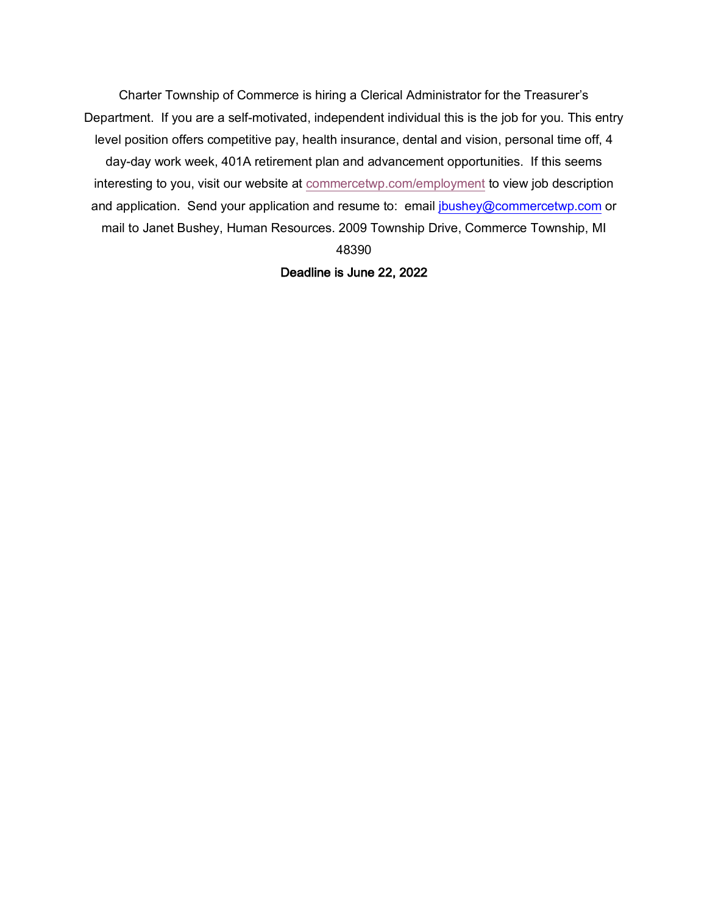Charter Township of Commerce is hiring a Clerical Administrator for the Treasurer's Department. If you are a self-motivated, independent individual this is the job for you. This entry level position offers competitive pay, health insurance, dental and vision, personal time off, 4 day-day work week, 401A retirement plan and advancement opportunities. If this seems interesting to you, visit our website at commercetwp.com/employment to view job description and application. Send your application and resume to: email jbushey@commercetwp.com or mail to Janet Bushey, Human Resources. 2009 Township Drive, Commerce Township, MI 48390

Deadline is June 22, 2022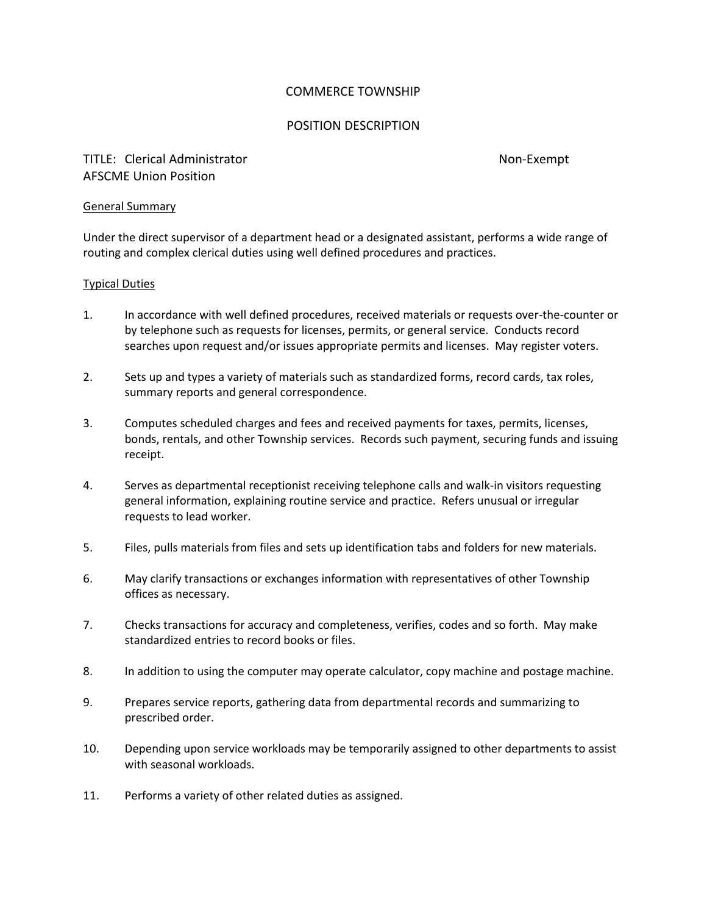## COMMERCE TOWNSHIP

## POSITION DESCRIPTION

# TITLE: Clerical Administrator Non-Exempt AFSCME Union Position

#### General Summary

Under the direct supervisor of a department head or a designated assistant, performs a wide range of routing and complex clerical duties using well defined procedures and practices.

## Typical Duties

- 1. In accordance with well defined procedures, received materials or requests over-the-counter or by telephone such as requests for licenses, permits, or general service. Conducts record searches upon request and/or issues appropriate permits and licenses. May register voters.
- 2. Sets up and types a variety of materials such as standardized forms, record cards, tax roles, summary reports and general correspondence.
- 3. Computes scheduled charges and fees and received payments for taxes, permits, licenses, bonds, rentals, and other Township services. Records such payment, securing funds and issuing receipt.
- 4. Serves as departmental receptionist receiving telephone calls and walk-in visitors requesting general information, explaining routine service and practice. Refers unusual or irregular requests to lead worker.
- 5. Files, pulls materials from files and sets up identification tabs and folders for new materials.
- 6. May clarify transactions or exchanges information with representatives of other Township offices as necessary.
- 7. Checks transactions for accuracy and completeness, verifies, codes and so forth. May make standardized entries to record books or files.
- 8. In addition to using the computer may operate calculator, copy machine and postage machine.
- 9. Prepares service reports, gathering data from departmental records and summarizing to prescribed order.
- 10. Depending upon service workloads may be temporarily assigned to other departments to assist with seasonal workloads.
- 11. Performs a variety of other related duties as assigned.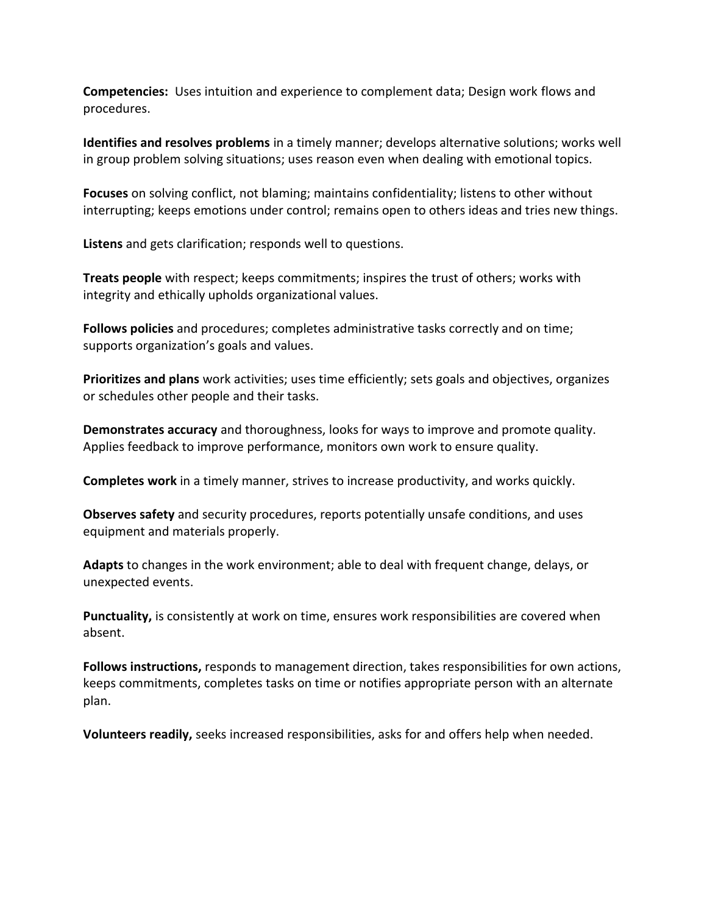**Competencies:** Uses intuition and experience to complement data; Design work flows and procedures.

**Identifies and resolves problems** in a timely manner; develops alternative solutions; works well in group problem solving situations; uses reason even when dealing with emotional topics.

**Focuses** on solving conflict, not blaming; maintains confidentiality; listens to other without interrupting; keeps emotions under control; remains open to others ideas and tries new things.

**Listens** and gets clarification; responds well to questions.

**Treats people** with respect; keeps commitments; inspires the trust of others; works with integrity and ethically upholds organizational values.

**Follows policies** and procedures; completes administrative tasks correctly and on time; supports organization's goals and values.

**Prioritizes and plans** work activities; uses time efficiently; sets goals and objectives, organizes or schedules other people and their tasks.

**Demonstrates accuracy** and thoroughness, looks for ways to improve and promote quality. Applies feedback to improve performance, monitors own work to ensure quality.

**Completes work** in a timely manner, strives to increase productivity, and works quickly.

**Observes safety** and security procedures, reports potentially unsafe conditions, and uses equipment and materials properly.

**Adapts** to changes in the work environment; able to deal with frequent change, delays, or unexpected events.

**Punctuality,** is consistently at work on time, ensures work responsibilities are covered when absent.

**Follows instructions,** responds to management direction, takes responsibilities for own actions, keeps commitments, completes tasks on time or notifies appropriate person with an alternate plan.

**Volunteers readily,** seeks increased responsibilities, asks for and offers help when needed.